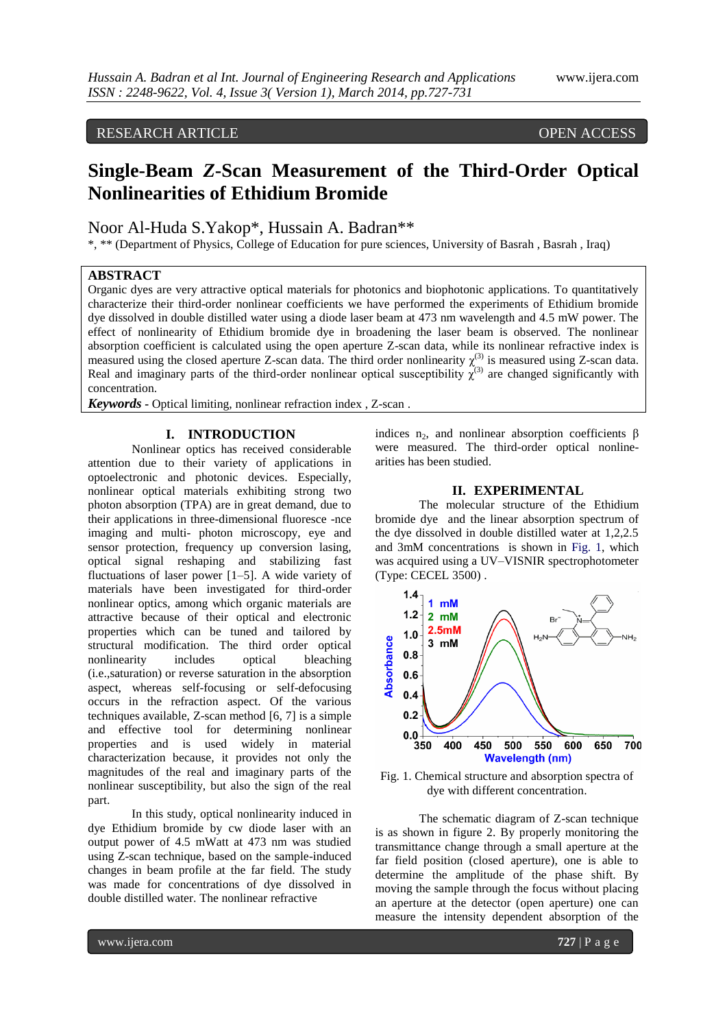# RESEARCH ARTICLE OPEN ACCESS

# **Single-Beam** *Z***-Scan Measurement of the Third-Order Optical Nonlinearities of Ethidium Bromide**

Noor Al-Huda S.Yakop\*, Hussain A. Badran\*\*

\*, \*\* (Department of Physics, College of Education for pure sciences, University of Basrah , Basrah , Iraq)

## **ABSTRACT**

Organic dyes are very attractive optical materials for photonics and biophotonic applications. To quantitatively characterize their third-order nonlinear coefficients we have performed the experiments of Ethidium bromide dye dissolved in double distilled water using a diode laser beam at 473 nm wavelength and 4.5 mW power. The effect of nonlinearity of Ethidium bromide dye in broadening the laser beam is observed. The nonlinear absorption coefficient is calculated using the open aperture Z-scan data, while its nonlinear refractive index is measured using the closed aperture Z-scan data. The third order nonlinearity  $\chi^{(3)}$  is measured using Z-scan data. Real and imaginary parts of the third-order nonlinear optical susceptibility  $\chi^{(3)}$  are changed significantly with concentration.

*Keywords* **-** Optical limiting, nonlinear refraction index , Z-scan .

### **I. INTRODUCTION**

Nonlinear optics has received considerable attention due to their variety of applications in optoelectronic and photonic devices. Especially, nonlinear optical materials exhibiting strong two photon absorption (TPA) are in great demand, due to their applications in three-dimensional fluoresce -nce imaging and multi- photon microscopy, eye and sensor protection, frequency up conversion lasing, optical signal reshaping and stabilizing fast fluctuations of laser power [1–5]. A wide variety of materials have been investigated for third-order nonlinear optics, among which organic materials are attractive because of their optical and electronic properties which can be tuned and tailored by structural modification. The third order optical nonlinearity includes optical bleaching (i.e.,saturation) or reverse saturation in the absorption aspect, whereas self-focusing or self-defocusing occurs in the refraction aspect. Of the various techniques available, Z-scan method [6, 7] is a simple and effective tool for determining nonlinear properties and is used widely in material characterization because, it provides not only the magnitudes of the real and imaginary parts of the nonlinear susceptibility, but also the sign of the real part.

In this study, optical nonlinearity induced in dye Ethidium bromide by cw diode laser with an output power of 4.5 mWatt at 473 nm was studied using Z-scan technique, based on the sample-induced changes in beam profile at the far field. The study was made for concentrations of dye dissolved in double distilled water. The nonlinear refractive

indices  $n_2$ , and nonlinear absorption coefficients  $\beta$ were measured. The third-order optical nonlinearities has been studied.

## **II. EXPERIMENTAL**

The molecular structure of the Ethidium bromide dye and the linear absorption spectrum of the dye dissolved in double distilled water at 1,2,2.5 and 3mM concentrations is shown in Fig. 1, which was acquired using a UV–VISNIR spectrophotometer (Type: CECEL 3500) .



Fig. 1. Chemical structure and absorption spectra of dye with different concentration.

The schematic diagram of Z-scan technique is as shown in figure 2. By properly monitoring the transmittance change through a small aperture at the far field position (closed aperture), one is able to determine the amplitude of the phase shift. By moving the sample through the focus without placing an aperture at the detector (open aperture) one can measure the intensity dependent absorption of the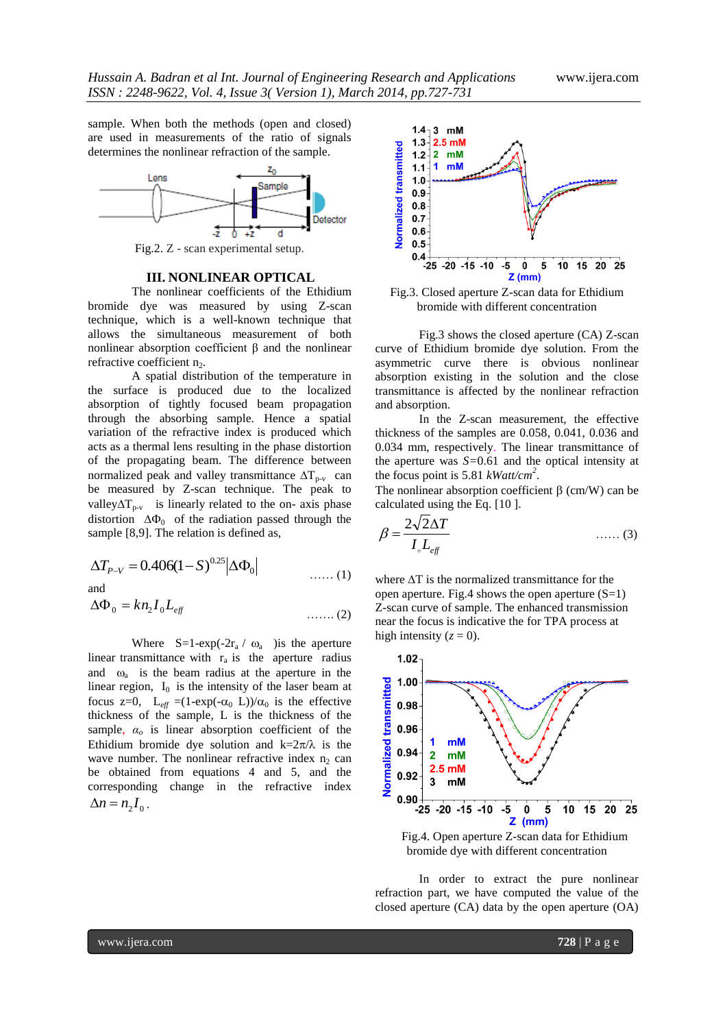sample. When both the methods (open and closed) are used in measurements of the ratio of signals determines the nonlinear refraction of the sample.



Fig.2. Z - scan experimental setup.

#### **III. NONLINEAR OPTICAL**

The nonlinear coefficients of the Ethidium bromide dye was measured by using Z-scan technique, which is a well-known technique that allows the simultaneous measurement of both nonlinear absorption coefficient  $β$  and the nonlinear refractive coefficient  $n_2$ .

A spatial distribution of the temperature in the surface is produced due to the localized absorption of tightly focused beam propagation through the absorbing sample. Hence a spatial variation of the refractive index is produced which acts as a thermal lens resulting in the phase distortion of the propagating beam. The difference between normalized peak and valley transmittance  $\Delta T_{p-v}$  can be measured by Z-scan technique. The peak to valley $\Delta T_{\text{p-v}}$  is linearly related to the on- axis phase distortion  $\Delta \Phi_0$  of the radiation passed through the sample [8,9]. The relation is defined as,

$$
\Delta T_{P-V} = 0.406(1 - S)^{0.25} |\Delta \Phi_0| \qquad \qquad (1)
$$

and

$$
\Delta \Phi_0 = k n_2 I_0 L_{\text{eff}} \tag{2}
$$

Where  $S=1-exp(-2r_a / \omega_a)$  is the aperture linear transmittance with  $r_a$  is the aperture radius and  $\omega_a$  is the beam radius at the aperture in the linear region,  $I_0$  is the intensity of the laser beam at focus z=0,  $L_{eff} = (1-\exp(-\alpha_0 L))/\alpha_0$  is the effective thickness of the sample, L is the thickness of the sample,  $\alpha_o$  is linear absorption coefficient of the Ethidium bromide dye solution and  $k=2\pi/\lambda$  is the wave number. The nonlinear refractive index  $n_2$  can be obtained from equations 4 and 5, and the corresponding change in the refractive index  $\Delta n = n_2 I_0$ .



Fig.3. Closed aperture Z-scan data for Ethidium bromide with different concentration

Fig.3 shows the closed aperture (CA) Z-scan curve of Ethidium bromide dye solution. From the asymmetric curve there is obvious nonlinear absorption existing in the solution and the close transmittance is affected by the nonlinear refraction and absorption.

In the Z-scan measurement, the effective thickness of the samples are 0.058, 0.041, 0.036 and 0.034 mm, respectively. The linear transmittance of the aperture was *S=*0.61 and the optical intensity at the focus point is 5.81 *kWatt/cm<sup>2</sup>* .

The nonlinear absorption coefficient  $\beta$  (cm/W) can be calculated using the Eq. [10 ].

$$
\beta = \frac{2\sqrt{2\Delta T}}{I_{\circ}L_{\text{eff}}} \tag{3}
$$

where  $\Delta T$  is the normalized transmittance for the open aperture. Fig.4 shows the open aperture  $(S=1)$ Z-scan curve of sample. The enhanced transmission near the focus is indicative the for TPA process at high intensity  $(z = 0)$ .



Fig.4. Open aperture Z-scan data for Ethidium bromide dye with different concentration

In order to extract the pure nonlinear refraction part, we have computed the value of the closed aperture (CA) data by the open aperture (OA)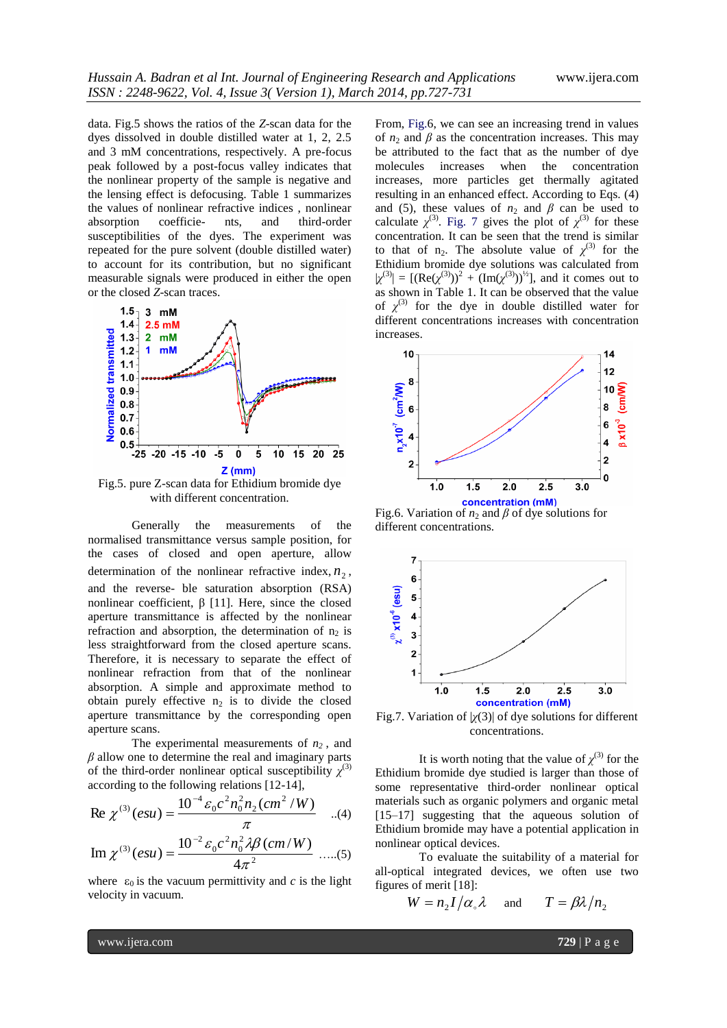data. Fig.5 shows the ratios of the *Z*-scan data for the dyes dissolved in double distilled water at 1, 2, 2.5 and 3 mM concentrations, respectively. A pre-focus peak followed by a post-focus valley indicates that the nonlinear property of the sample is negative and the lensing effect is defocusing. Table 1 summarizes the values of nonlinear refractive indices , nonlinear absorption coefficie- nts, and third-order susceptibilities of the dyes. The experiment was repeated for the pure solvent (double distilled water) to account for its contribution, but no significant measurable signals were produced in either the open or the closed *Z*-scan traces.



with different concentration.

Generally the measurements of the normalised transmittance versus sample position, for the cases of closed and open aperture, allow determination of the nonlinear refractive index,  $n_2$ , and the reverse- ble saturation absorption (RSA) nonlinear coefficient,  $β$  [11]. Here, since the closed aperture transmittance is affected by the nonlinear refraction and absorption, the determination of  $n_2$  is less straightforward from the closed aperture scans. Therefore, it is necessary to separate the effect of nonlinear refraction from that of the nonlinear absorption. A simple and approximate method to obtain purely effective  $n_2$  is to divide the closed aperture transmittance by the corresponding open aperture scans.

The experimental measurements of *n2* , and *β* allow one to determine the real and imaginary parts of the third-order nonlinear optical susceptibility  $\chi^{(3)}$ according to the following relations [12-14],

Re 
$$
\chi^{(3)}(esu) = \frac{10^{-4} \varepsilon_0 c^2 n_0^2 n_2 (cm^2/W)}{\pi}
$$
 ...(4)

Im 
$$
\chi^{(3)}(esu) = \frac{10^{-2} \varepsilon_0 c^2 n_0^2 \lambda \beta (cm/W)}{4\pi^2}
$$
 .....(5)

where  $\varepsilon_0$  is the vacuum permittivity and *c* is the light velocity in vacuum.

From, Fig.6, we can see an increasing trend in values of  $n_2$  and  $\beta$  as the concentration increases. This may be attributed to the fact that as the number of dye molecules increases when the concentration increases, more particles get thermally agitated resulting in an enhanced effect. According to Eqs. (4) and (5), these values of  $n_2$  and  $\beta$  can be used to calculate  $\chi^{(3)}$ . Fig. 7 gives the plot of  $\chi^{(3)}$  for these concentration. It can be seen that the trend is similar to that of  $n_2$ . The absolute value of  $\chi^{(3)}$  for the Ethidium bromide dye solutions was calculated from  $|\chi^{(3)}| = [(\text{Re}(\chi^{(3)}))^2 + (\text{Im}(\chi^{(3)}))^2]$ , and it comes out to as shown in Table 1. It can be observed that the value of  $\chi^{(3)}$  for the dye in double distilled water for different concentrations increases with concentration increases.



Fig.6. Variation of  $n_2$  and  $\beta$  of dye solutions for different concentrations.



Fig.7. Variation of |*χ*(3)| of dye solutions for different concentrations.

It is worth noting that the value of  $\chi^{(3)}$  for the Ethidium bromide dye studied is larger than those of some representative third-order nonlinear optical materials such as organic polymers and organic metal [15–17] suggesting that the aqueous solution of Ethidium bromide may have a potential application in nonlinear optical devices.

To evaluate the suitability of a material for all-optical integrated devices, we often use two figures of merit [18]:

$$
W = n_2 I / \alpha_{\circ} \lambda \quad \text{and} \quad T = \beta \lambda / n_2
$$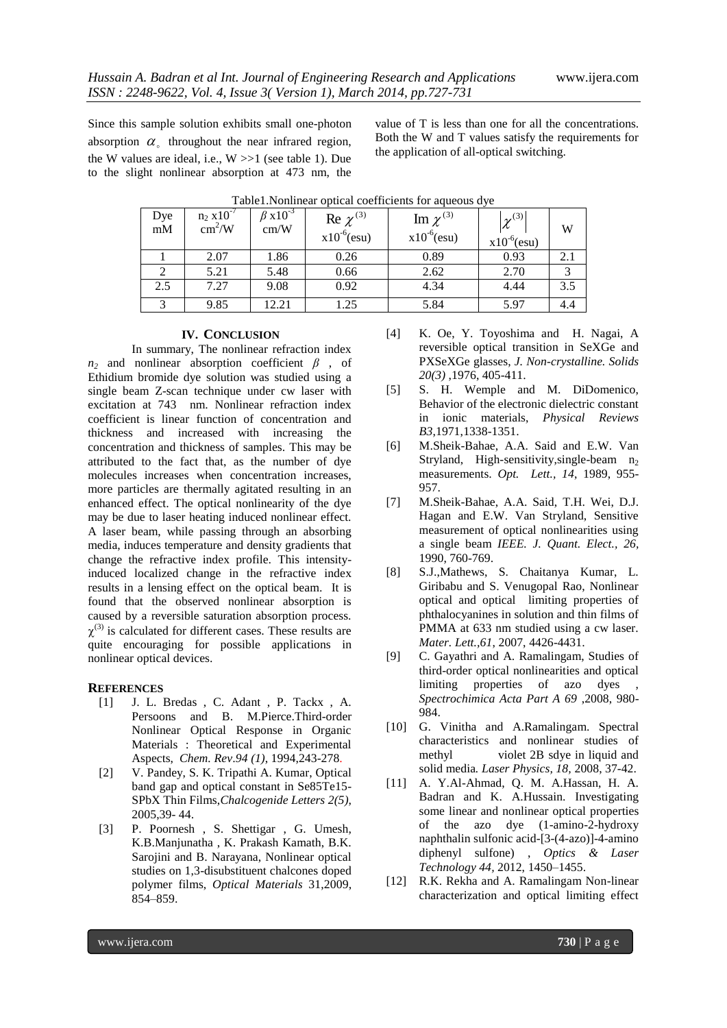Since this sample solution exhibits small one-photon absorption  $\alpha_{\circ}$  throughout the near infrared region, the W values are ideal, i.e.,  $W \gg 1$  (see table 1). Due to the slight nonlinear absorption at 473 nm, the

value of T is less than one for all the concentrations. Both the W and T values satisfy the requirements for the application of all-optical switching.

| Dye<br>$\rm{mM}$ | $n_2$ x 10 <sup>-7</sup><br>$\text{cm}^2/\text{W}$ | $\beta$ x10 <sup>-3</sup><br>cm/W | Re $\chi^{(3)}$<br>$x10^{-6}$ (esu) | Im $\chi^{(3)}$<br>$x10^{-6}$ (esu) | $\gamma^{(3)}$<br>$x10^{-6}$ (esu) | W   |
|------------------|----------------------------------------------------|-----------------------------------|-------------------------------------|-------------------------------------|------------------------------------|-----|
|                  | 2.07                                               | 1.86                              | 0.26                                | 0.89                                | 0.93                               |     |
|                  | 5.21                                               | 5.48                              | 0.66                                | 2.62                                | 2.70                               | 3   |
| 2.5              | 7.27                                               | 9.08                              | 0.92                                | 4.34                                | 4.44                               | 3.5 |
|                  | 9.85                                               | 12.21                             | 1.25                                | 5.84                                | 5.97                               | 4.4 |

| Table1. Nonlinear optical coefficients for aqueous dye |  |  |  |  |  |
|--------------------------------------------------------|--|--|--|--|--|
|--------------------------------------------------------|--|--|--|--|--|

#### **IV. CONCLUSION**

In summary, The nonlinear refraction index  $n_2$  and nonlinear absorption coefficient  $\beta$ , of Ethidium bromide dye solution was studied using a single beam Z-scan technique under cw laser with excitation at 743 nm. Nonlinear refraction index coefficient is linear function of concentration and thickness and increased with increasing the concentration and thickness of samples. This may be attributed to the fact that, as the number of dye molecules increases when concentration increases, more particles are thermally agitated resulting in an enhanced effect. The optical nonlinearity of the dye may be due to laser heating induced nonlinear effect. A laser beam, while passing through an absorbing media, induces temperature and density gradients that change the refractive index profile. This intensityinduced localized change in the refractive index results in a lensing effect on the optical beam. It is found that the observed nonlinear absorption is caused by a reversible saturation absorption process.  $\chi^{(3)}$  is calculated for different cases. These results are quite encouraging for possible applications in nonlinear optical devices.

#### **REFERENCES**

- [1] [J. L. Bredas](http://pubs.acs.org/action/doSearch?action=search&author=Bredas%2C+J.+L.&qsSearchArea=author) , [C. Adant](http://pubs.acs.org/action/doSearch?action=search&author=Adant%2C+C.&qsSearchArea=author) , [P. Tackx](http://pubs.acs.org/action/doSearch?action=search&author=Tackx%2C+P.&qsSearchArea=author) , [A.](http://pubs.acs.org/action/doSearch?action=search&author=Persoons%2C+A.&qsSearchArea=author)  [Persoons](http://pubs.acs.org/action/doSearch?action=search&author=Persoons%2C+A.&qsSearchArea=author) and [B. M.Pierce.](http://pubs.acs.org/action/doSearch?action=search&author=Pierce%2C+B.+M.&qsSearchArea=author)Third-order Nonlinear Optical Response in Organic Materials : Theoretical and Experimental Aspects, *Chem. Rev*.*94 (1)*, 1994,243-278.
- [2] V. Pandey, S. K. Tripathi A. Kumar, Optical band gap and optical constant in Se85Te15- SPbX Thin Films,*Chalcogenide Letters 2(5)*, 2005,39- 44.
- [3] P. Poornesh , S. Shettigar , G. Umesh, K.B.Manjunatha , K. Prakash Kamath, B.K. Sarojini and B. Narayana, Nonlinear optical studies on 1,3-disubstituent chalcones doped polymer films, *Optical Materials* 31,2009, 854–859.
- [4] K. Oe, Y. Toyoshima and H. Nagai, A reversible optical transition in SeXGe and PXSeXGe glasses, *J. Non-crystalline. Solids 20(3)* ,1976, 405-411.
- [5] S. H. Wemple and M. DiDomenico, Behavior of the electronic dielectric constant in ionic materials, *Physical Reviews B3*,1971,1338-1351.
- [6] M.Sheik-Bahae, A.A. Said and E.W. Van Stryland, High-sensitivity, single-beam  $n_2$ measurements. *Opt. Lett., 14*, 1989, 955- 957.
- [7] M.Sheik-Bahae, A.A. Said, T.H. Wei, D.J. Hagan and E.W. Van Stryland, Sensitive measurement of optical nonlinearities using a single beam *IEEE. J. Quant. Elect., 26,* 1990, 760-769.
- [8] S.J.,Mathews, S. Chaitanya Kumar, L. Giribabu and S. Venugopal Rao, Nonlinear optical and optical limiting properties of phthalocyanines in solution and thin films of PMMA at 633 nm studied using a cw laser. *Mater. Lett.,61*, 2007, 4426-4431.
- [9] C. Gayathri and A. Ramalingam, Studies of third-order optical nonlinearities and optical limiting properties of azo dyes *Spectrochimica Acta Part A 69* ,2008, 980- 984.
- [10] G. Vinitha and A.Ramalingam. Spectral characteristics and nonlinear studies of methyl violet 2B sdye in liquid and solid media*. Laser Physics, 18,* 2008, 37-42.
- [11] A. Y.Al-Ahmad, Q. M. A.Hassan, H. A. Badran and K. A.Hussain. Investigating some linear and nonlinear optical properties of the azo dye (1-amino-2-hydroxy naphthalin sulfonic acid-[3-(4-azo)]-4-amino diphenyl sulfone) , *Optics & Laser Technology 44,* 2012, 1450–1455.
- [12] R.K. Rekha and A. Ramalingam Non-linear characterization and optical limiting effect